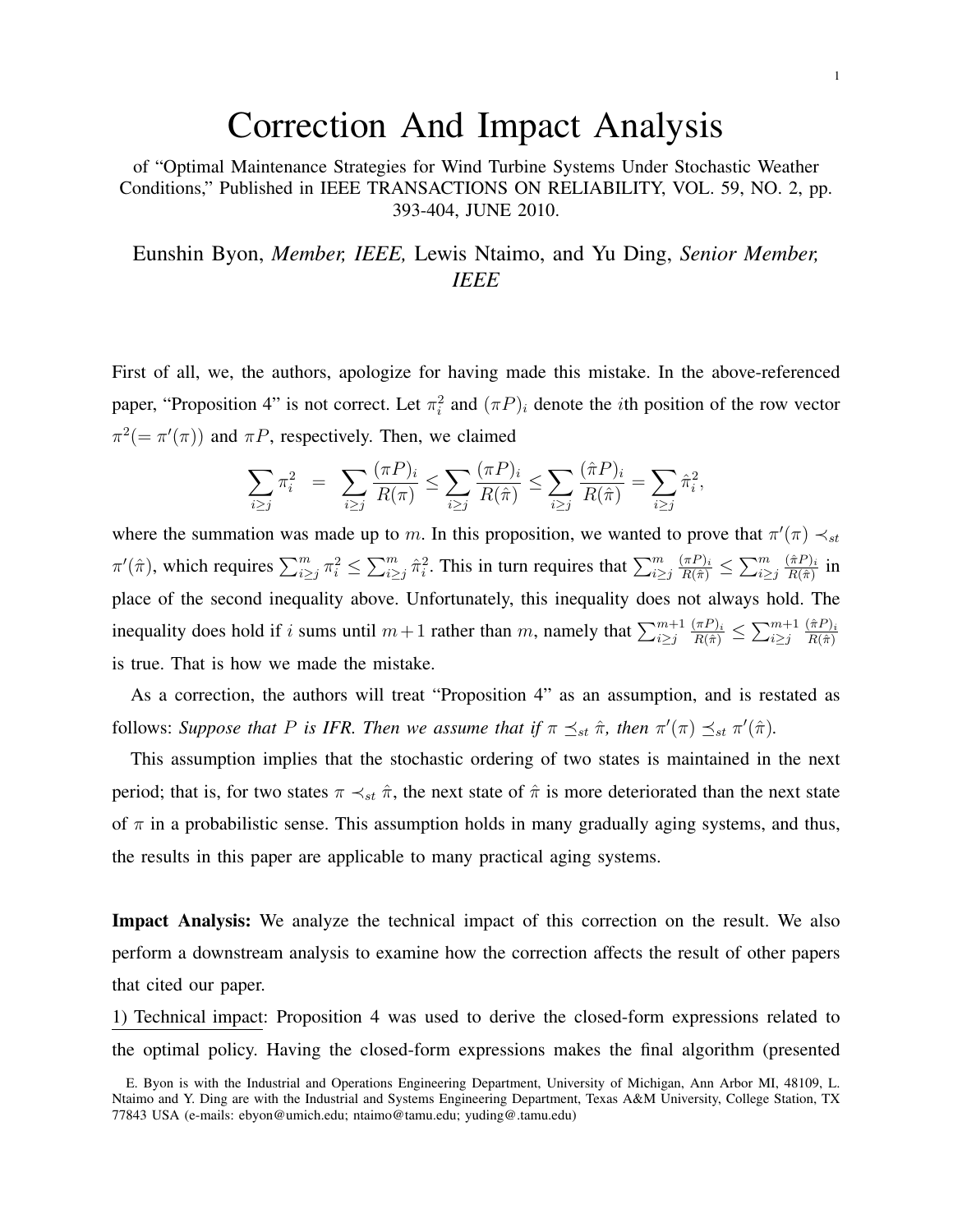## Correction And Impact Analysis

of "Optimal Maintenance Strategies for Wind Turbine Systems Under Stochastic Weather Conditions," Published in IEEE TRANSACTIONS ON RELIABILITY, VOL. 59, NO. 2, pp. 393-404, JUNE 2010.

Eunshin Byon, *Member, IEEE,* Lewis Ntaimo, and Yu Ding, *Senior Member, IEEE*

First of all, we, the authors, apologize for having made this mistake. In the above-referenced paper, "Proposition 4" is not correct. Let  $\pi_i^2$  and  $(\pi P)_i$  denote the *i*th position of the row vector  $\pi^2 (= \pi'(\pi))$  and  $\pi P$ , respectively. Then, we claimed

$$
\sum_{i \ge j} \pi_i^2 = \sum_{i \ge j} \frac{(\pi P)_i}{R(\pi)} \le \sum_{i \ge j} \frac{(\pi P)_i}{R(\hat{\pi})} \le \sum_{i \ge j} \frac{(\hat{\pi} P)_i}{R(\hat{\pi})} = \sum_{i \ge j} \hat{\pi}_i^2,
$$

where the summation was made up to m. In this proposition, we wanted to prove that  $\pi'(\pi) \prec_{st} \pi$  $\pi'(\hat{\pi})$ , which requires  $\sum_{i\geq j}^m \pi_i^2 \leq \sum_{i\geq j}^m \hat{\pi}_i^2$ . This in turn requires that  $\sum_{i\geq j}^m$  $\frac{(\pi P)_i}{R(\hat{\pi})} \leq \sum_{i \geq j}^m$  $(\hat\pi P)_i$  $\frac{(\pi P)_i}{R(\hat{\pi})}$  in place of the second inequality above. Unfortunately, this inequality does not always hold. The inequality does hold if i sums until  $m+1$  rather than m, namely that  $\sum_{i\geq j}^{m+1}$  $\frac{(\pi P)_i}{R(\hat{\pi})} \leq \sum_{i \geq j} m+1$  $(\hat{\pi}P)_i$  $R(\hat{\pi})$ is true. That is how we made the mistake.

As a correction, the authors will treat "Proposition 4" as an assumption, and is restated as follows: Suppose that P is IFR. Then we assume that if  $\pi \leq_{st} \hat{\pi}$ , then  $\pi'(\pi) \leq_{st} \pi'(\hat{\pi})$ .

This assumption implies that the stochastic ordering of two states is maintained in the next period; that is, for two states  $\pi \prec_{st} \hat{\pi}$ , the next state of  $\hat{\pi}$  is more deteriorated than the next state of  $\pi$  in a probabilistic sense. This assumption holds in many gradually aging systems, and thus, the results in this paper are applicable to many practical aging systems.

Impact Analysis: We analyze the technical impact of this correction on the result. We also perform a downstream analysis to examine how the correction affects the result of other papers that cited our paper.

1) Technical impact: Proposition 4 was used to derive the closed-form expressions related to the optimal policy. Having the closed-form expressions makes the final algorithm (presented

E. Byon is with the Industrial and Operations Engineering Department, University of Michigan, Ann Arbor MI, 48109, L. Ntaimo and Y. Ding are with the Industrial and Systems Engineering Department, Texas A&M University, College Station, TX 77843 USA (e-mails: ebyon@umich.edu; ntaimo@tamu.edu; yuding@.tamu.edu)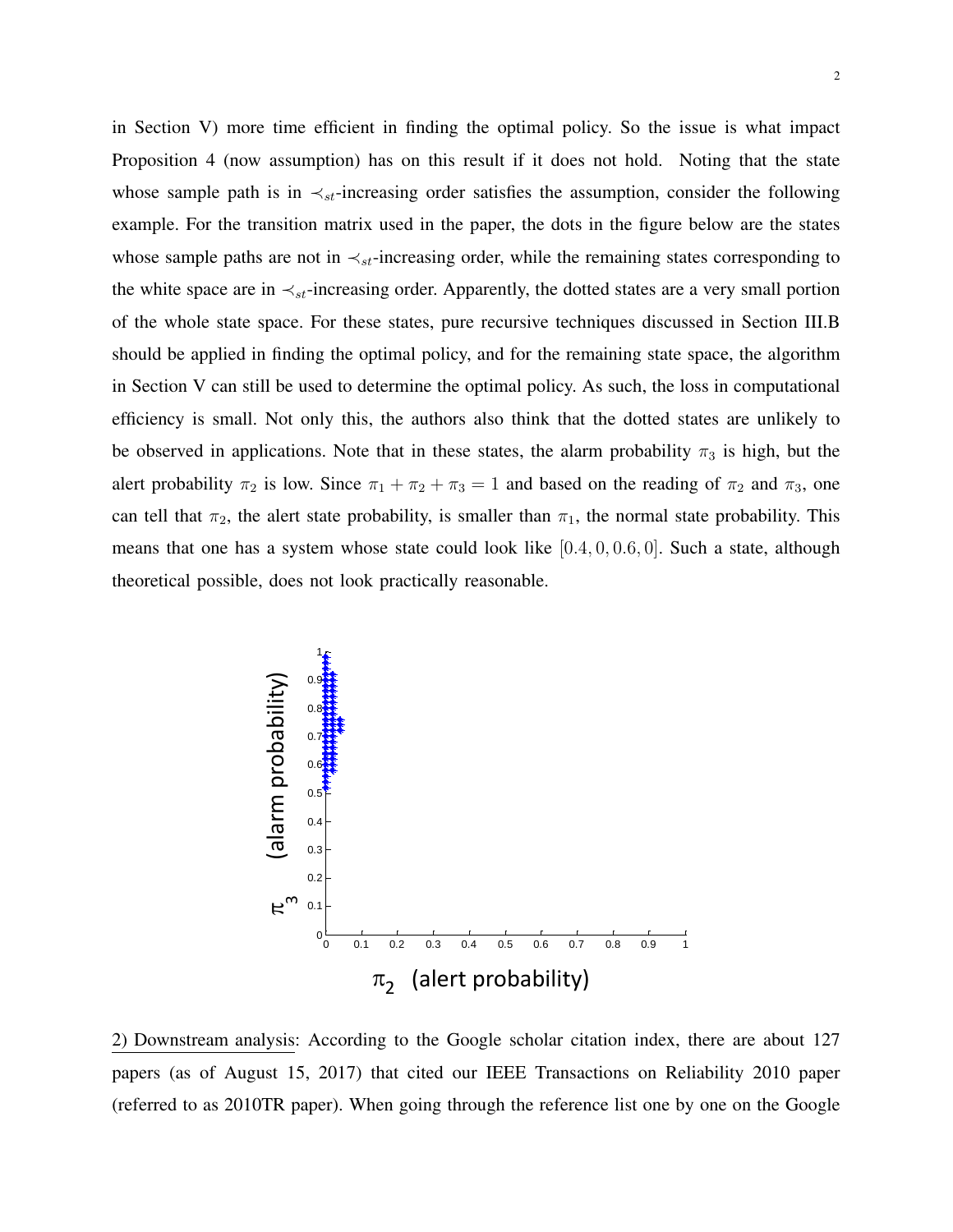in Section V) more time efficient in finding the optimal policy. So the issue is what impact Proposition 4 (now assumption) has on this result if it does not hold. Noting that the state whose sample path is in  $\prec_{st}$ -increasing order satisfies the assumption, consider the following example. For the transition matrix used in the paper, the dots in the figure below are the states whose sample paths are not in  $\prec_{st}$ -increasing order, while the remaining states corresponding to the white space are in  $\prec_{st}$ -increasing order. Apparently, the dotted states are a very small portion of the whole state space. For these states, pure recursive techniques discussed in Section III.B should be applied in finding the optimal policy, and for the remaining state space, the algorithm in Section V can still be used to determine the optimal policy. As such, the loss in computational efficiency is small. Not only this, the authors also think that the dotted states are unlikely to be observed in applications. Note that in these states, the alarm probability  $\pi_3$  is high, but the alert probability  $\pi_2$  is low. Since  $\pi_1 + \pi_2 + \pi_3 = 1$  and based on the reading of  $\pi_2$  and  $\pi_3$ , one can tell that  $\pi_2$ , the alert state probability, is smaller than  $\pi_1$ , the normal state probability. This means that one has a system whose state could look like [0.4, 0, 0.6, 0]. Such a state, although theoretical possible, does not look practically reasonable.



2) Downstream analysis: According to the Google scholar citation index, there are about 127 papers (as of August 15, 2017) that cited our IEEE Transactions on Reliability 2010 paper (referred to as 2010TR paper). When going through the reference list one by one on the Google